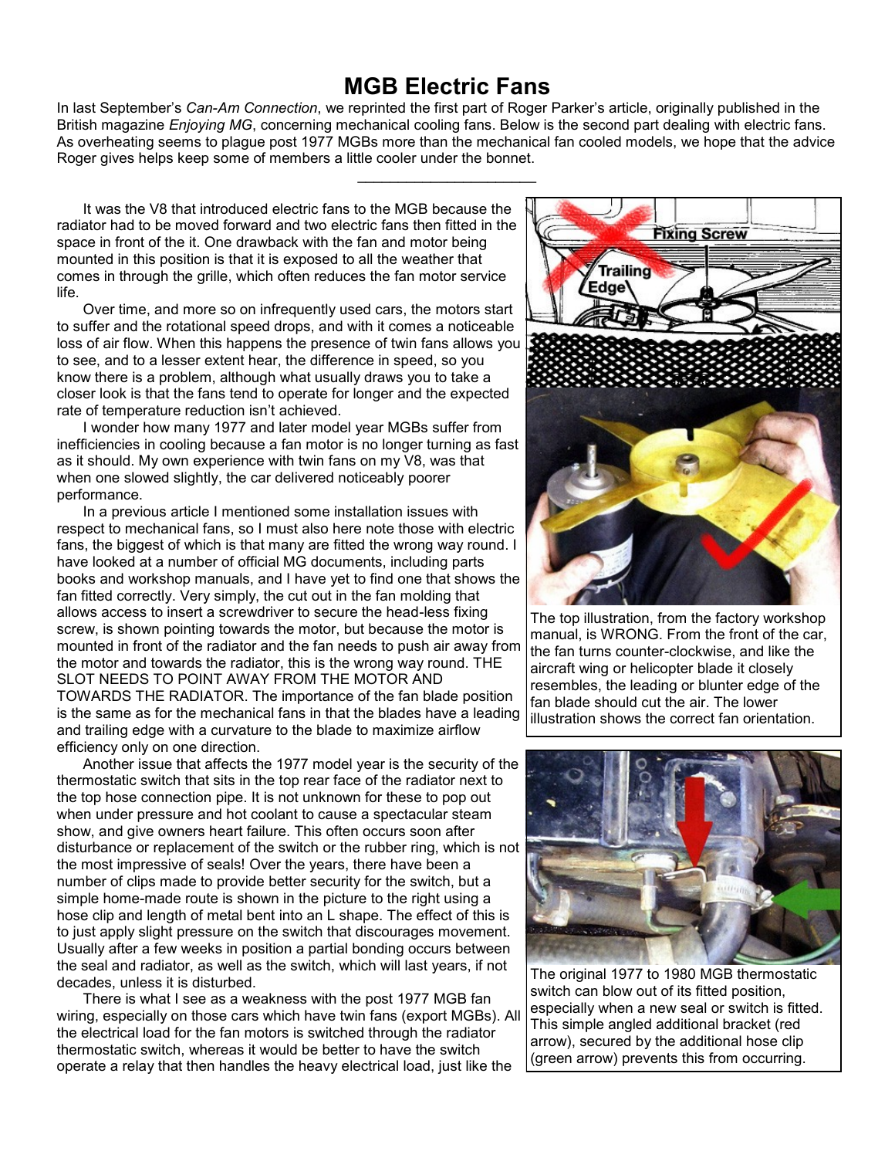## **MGB Electric Fans**

In last September's *Can-Am Connection*, we reprinted the first part of Roger Parker's article, originally published in the British magazine *Enjoying MG*, concerning mechanical cooling fans. Below is the second part dealing with electric fans. As overheating seems to plague post 1977 MGBs more than the mechanical fan cooled models, we hope that the advice Roger gives helps keep some of members a little cooler under the bonnet.

\_\_\_\_\_\_\_\_\_\_\_\_\_\_\_\_\_\_\_\_\_\_

It was the V8 that introduced electric fans to the MGB because the radiator had to be moved forward and two electric fans then fitted in the space in front of the it. One drawback with the fan and motor being mounted in this position is that it is exposed to all the weather that comes in through the grille, which often reduces the fan motor service life.

Over time, and more so on infrequently used cars, the motors start to suffer and the rotational speed drops, and with it comes a noticeable loss of air flow. When this happens the presence of twin fans allows you to see, and to a lesser extent hear, the difference in speed, so you know there is a problem, although what usually draws you to take a closer look is that the fans tend to operate for longer and the expected rate of temperature reduction isn't achieved.

I wonder how many 1977 and later model year MGBs suffer from inefficiencies in cooling because a fan motor is no longer turning as fast as it should. My own experience with twin fans on my V8, was that when one slowed slightly, the car delivered noticeably poorer performance.

In a previous article I mentioned some installation issues with respect to mechanical fans, so I must also here note those with electric fans, the biggest of which is that many are fitted the wrong way round. I have looked at a number of official MG documents, including parts books and workshop manuals, and I have yet to find one that shows the fan fitted correctly. Very simply, the cut out in the fan molding that allows access to insert a screwdriver to secure the head-less fixing screw, is shown pointing towards the motor, but because the motor is mounted in front of the radiator and the fan needs to push air away from the motor and towards the radiator, this is the wrong way round. THE SLOT NEEDS TO POINT AWAY FROM THE MOTOR AND TOWARDS THE RADIATOR. The importance of the fan blade position is the same as for the mechanical fans in that the blades have a leading and trailing edge with a curvature to the blade to maximize airflow efficiency only on one direction.

Another issue that affects the 1977 model year is the security of the thermostatic switch that sits in the top rear face of the radiator next to the top hose connection pipe. It is not unknown for these to pop out when under pressure and hot coolant to cause a spectacular steam show, and give owners heart failure. This often occurs soon after disturbance or replacement of the switch or the rubber ring, which is not the most impressive of seals! Over the years, there have been a number of clips made to provide better security for the switch, but a simple home-made route is shown in the picture to the right using a hose clip and length of metal bent into an L shape. The effect of this is to just apply slight pressure on the switch that discourages movement. Usually after a few weeks in position a partial bonding occurs between the seal and radiator, as well as the switch, which will last years, if not decades, unless it is disturbed.

There is what I see as a weakness with the post 1977 MGB fan wiring, especially on those cars which have twin fans (export MGBs). All the electrical load for the fan motors is switched through the radiator thermostatic switch, whereas it would be better to have the switch operate a relay that then handles the heavy electrical load, just like the



The top illustration, from the factory workshop manual, is WRONG. From the front of the car, the fan turns counter-clockwise, and like the aircraft wing or helicopter blade it closely resembles, the leading or blunter edge of the fan blade should cut the air. The lower illustration shows the correct fan orientation.



The original 1977 to 1980 MGB thermostatic switch can blow out of its fitted position, especially when a new seal or switch is fitted. This simple angled additional bracket (red arrow), secured by the additional hose clip (green arrow) prevents this from occurring.